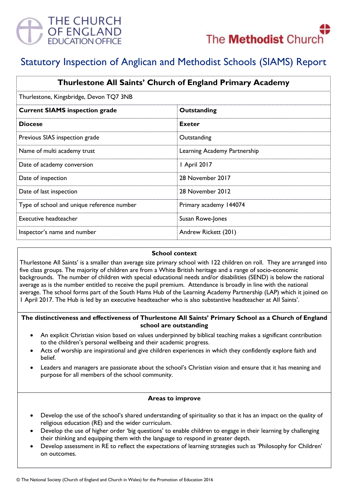



# Statutory Inspection of Anglican and Methodist Schools (SIAMS) Report

| Thurlestone All Saints' Church of England Primary Academy |                              |
|-----------------------------------------------------------|------------------------------|
| Thurlestone, Kingsbridge, Devon TQ7 3NB                   |                              |
| <b>Current SIAMS inspection grade</b>                     | Outstanding                  |
| <b>Diocese</b>                                            | <b>Exeter</b>                |
| Previous SIAS inspection grade                            | Outstanding                  |
| Name of multi academy trust                               | Learning Academy Partnership |
| Date of academy conversion                                | 1 April 2017                 |
| Date of inspection                                        | 28 November 2017             |
| Date of last inspection                                   | 28 November 2012             |
| Type of school and unique reference number                | Primary academy 144074       |
| Executive headteacher                                     | Susan Rowe-Jones             |
| Inspector's name and number                               | Andrew Rickett (201)         |

#### **School context**

Thurlestone All Saints' is a smaller than average size primary school with 122 children on roll. They are arranged into five class groups. The majority of children are from a White British heritage and a range of socio-economic backgrounds. The number of children with special educational needs and/or disabilities (SEND) is below the national average as is the number entitled to receive the pupil premium. Attendance is broadly in line with the national average. The school forms part of the South Hams Hub of the Learning Academy Partnership (LAP) which it joined on 1 April 2017. The Hub is led by an executive headteacher who is also substantive headteacher at All Saints'.

#### **The distinctiveness and effectiveness of Thurlestone All Saints' Primary School as a Church of England school are outstanding**

- An explicit Christian vision based on values underpinned by biblical teaching makes a significant contribution to the children's personal wellbeing and their academic progress.
- Acts of worship are inspirational and give children experiences in which they confidently explore faith and belief.
- Leaders and managers are passionate about the school's Christian vision and ensure that it has meaning and purpose for all members of the school community.

## **Areas to improve**

- Develop the use of the school's shared understanding of spirituality so that it has an impact on the quality of religious education (RE) and the wider curriculum.
- Develop the use of higher order 'big questions' to enable children to engage in their learning by challenging their thinking and equipping them with the language to respond in greater depth.
- Develop assessment in RE to reflect the expectations of learning strategies such as 'Philosophy for Children' on outcomes.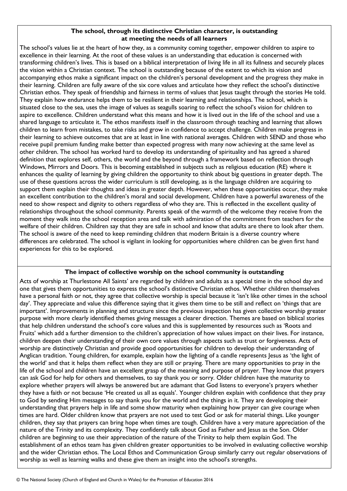#### **The school, through its distinctive Christian character, is outstanding at meeting the needs of all learners**

The school's values lie at the heart of how they, as a community coming together, empower children to aspire to excellence in their learning. At the root of these values is an understanding that education is concerned with transforming children's lives. This is based on a biblical interpretation of living life in all its fullness and securely places the vision within a Christian context. The school is outstanding because of the extent to which its vision and accompanying ethos make a significant impact on the children's personal development and the progress they make in their learning. Children are fully aware of the six core values and articulate how they reflect the school's distinctive Christian ethos. They speak of friendship and fairness in terms of values that Jesus taught through the stories He told. They explain how endurance helps them to be resilient in their learning and relationships. The school, which is situated close to the sea, uses the image of values as seagulls soaring to reflect the school's vision for children to aspire to excellence. Children understand what this means and how it is lived out in the life of the school and use a shared language to articulate it. The ethos manifests itself in the classroom through teaching and learning that allows children to learn from mistakes, to take risks and grow in confidence to accept challenge. Children make progress in their learning to achieve outcomes that are at least in line with national averages. Children with SEND and those who receive pupil premium funding make better than expected progress with many now achieving at the same level as other children. The school has worked hard to develop its understanding of spirituality and has agreed a shared definition that explores self, others, the world and the beyond through a framework based on reflection through Windows, Mirrors and Doors. This is becoming established in subjects such as religious education (RE) where it enhances the quality of learning by giving children the opportunity to think about big questions in greater depth. The use of these questions across the wider curriculum is still developing, as is the language children are acquiring to support them explain their thoughts and ideas in greater depth. However, when these opportunities occur, they make an excellent contribution to the children's moral and social development. Children have a powerful awareness of the need to show respect and dignity to others regardless of who they are. This is reflected in the excellent quality of relationships throughout the school community. Parents speak of the warmth of the welcome they receive from the moment they walk into the school reception area and talk with admiration of the commitment from teachers for the welfare of their children. Children say that they are safe in school and know that adults are there to look after them. The school is aware of the need to keep reminding children that modern Britain is a diverse country where differences are celebrated. The school is vigilant in looking for opportunities where children can be given first hand experiences for this to be explored.

# **The impact of collective worship on the school community is outstanding**

Acts of worship at Thurlestone All Saints' are regarded by children and adults as a special time in the school day and one that gives them opportunities to express the school's distinctive Christian ethos. Whether children themselves have a personal faith or not, they agree that collective worship is special because it 'isn't like other times in the school day'. They appreciate and value this difference saying that it gives them time to be still and reflect on 'things that are important'. Improvements in planning and structure since the previous inspection has given collective worship greater purpose with more clearly identified themes giving messages a clearer direction. Themes are based on biblical stories that help children understand the school's core values and this is supplemented by resources such as 'Roots and Fruits' which add a further dimension to the children's appreciation of how values impact on their lives. For instance, children deepen their understanding of their own core values through aspects such as trust or forgiveness. Acts of worship are distinctively Christian and provide good opportunities for children to develop their understanding of Anglican tradition. Young children, for example, explain how the lighting of a candle represents Jesus as 'the light of the world' and that it helps them reflect when they are still or praying. There are many opportunities to pray in the life of the school and children have an excellent grasp of the meaning and purpose of prayer. They know that prayers can ask God for help for others and themselves, to say thank you or sorry. Older children have the maturity to explore whether prayers will always be answered but are adamant that God listens to everyone's prayers whether they have a faith or not because 'He created us all as equals'. Younger children explain with confidence that they pray to God by sending Him messages to say thank you for the world and the things in it. They are developing their understanding that prayers help in life and some show maturity when explaining how prayer can give courage when times are hard. Older children know that prayers are not used to test God or ask for material things. Like younger children, they say that prayers can bring hope when times are tough. Children have a very mature appreciation of the nature of the Trinity and its complexity. They confidently talk about God as Father and Jesus as the Son. Older children are beginning to use their appreciation of the nature of the Trinity to help them explain God. The establishment of an ethos team has given children greater opportunities to be involved in evaluating collective worship and the wider Christian ethos. The Local Ethos and Communication Group similarly carry out regular observations of worship as well as learning walks and these give them an insight into the school's strengths.